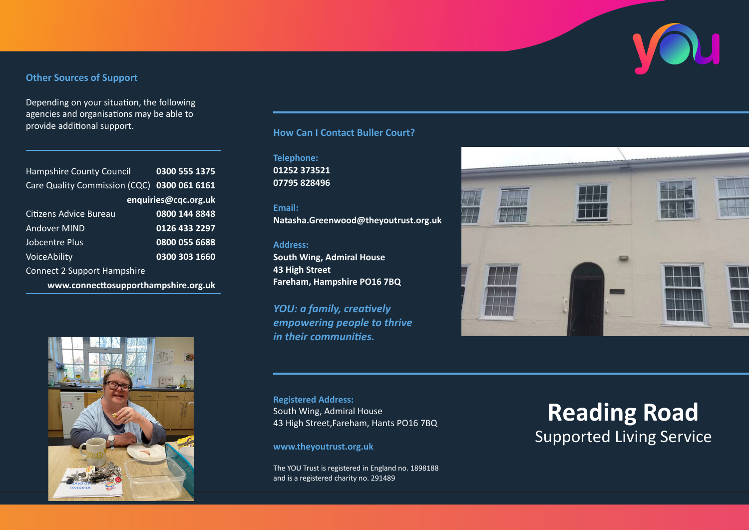# **Other Sources of Support**

Depending on your situation, the following agencies and organisations may be able to provide additional support.

| <b>Hampshire County Council</b>             | 0300 555 1375 |
|---------------------------------------------|---------------|
| Care Quality Commission (CQC) 0300 061 6161 |               |
| enquiries@cqc.org.uk                        |               |
| Citizens Advice Bureau                      | 0800 144 8848 |
| Andover MIND                                | 0126 433 2297 |
| Jobcentre Plus                              | 0800 055 6688 |
| VoiceAbility                                | 0300 303 1660 |
| <b>Connect 2 Support Hampshire</b>          |               |
| www.connecttosupporthampshire.org.uk        |               |



# **How Can I Contact Buller Court?**

**Telephone: 01252 373521 07795 828496**

#### **Email:**

**Natasha.Greenwood@theyoutrust.org.uk**

### **Address:**

**South Wing, Admiral House 43 High Street Fareham, Hampshire PO16 7BQ**

*YOU: a family, creatively empowering people to thrive in their communities.*



**Registered Address:** South Wing, Admiral House 43 High Street,Fareham, Hants PO16 7BQ

**www.theyoutrust.org.uk**

The YOU Trust is registered in England no. 1898188 and is a registered charity no. 291489

# **Reading Road** Supported Living Service